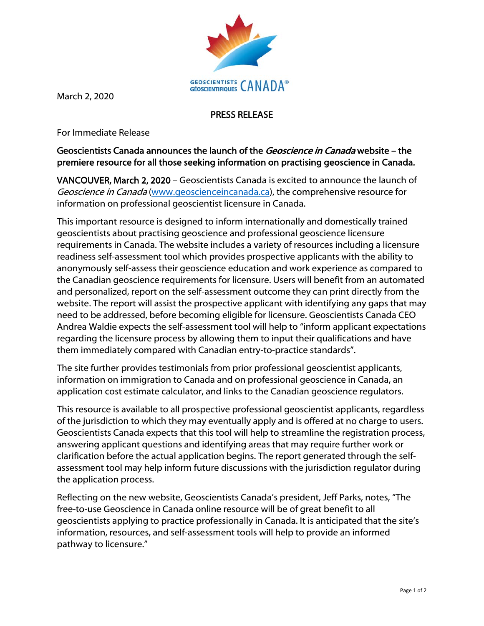

March 2, 2020

## PRESS RELEASE

For Immediate Release

## Geoscientists Canada announces the launch of the *Geoscience in Canada* website – the premiere resource for all those seeking information on practising geoscience in Canada.

VANCOUVER, March 2, 2020 – Geoscientists Canada is excited to announce the launch of Geoscience in Canada (www.geoscienceincanada.ca), the comprehensive resource for information on professional geoscientist licensure in Canada.

This important resource is designed to inform internationally and domestically trained geoscientists about practising geoscience and professional geoscience licensure requirements in Canada. The website includes a variety of resources including a licensure readiness self-assessment tool which provides prospective applicants with the ability to anonymously self-assess their geoscience education and work experience as compared to the Canadian geoscience requirements for licensure. Users will benefit from an automated and personalized, report on the self-assessment outcome they can print directly from the website. The report will assist the prospective applicant with identifying any gaps that may need to be addressed, before becoming eligible for licensure. Geoscientists Canada CEO Andrea Waldie expects the self-assessment tool will help to "inform applicant expectations regarding the licensure process by allowing them to input their qualifications and have them immediately compared with Canadian entry-to-practice standards".

The site further provides testimonials from prior professional geoscientist applicants, information on immigration to Canada and on professional geoscience in Canada, an application cost estimate calculator, and links to the Canadian geoscience regulators.

This resource is available to all prospective professional geoscientist applicants, regardless of the jurisdiction to which they may eventually apply and is offered at no charge to users. Geoscientists Canada expects that this tool will help to streamline the registration process, answering applicant questions and identifying areas that may require further work or clarification before the actual application begins. The report generated through the selfassessment tool may help inform future discussions with the jurisdiction regulator during the application process.

Reflecting on the new website, Geoscientists Canada's president, Jeff Parks, notes, "The free-to-use Geoscience in Canada online resource will be of great benefit to all geoscientists applying to practice professionally in Canada. It is anticipated that the site's information, resources, and self-assessment tools will help to provide an informed pathway to licensure."